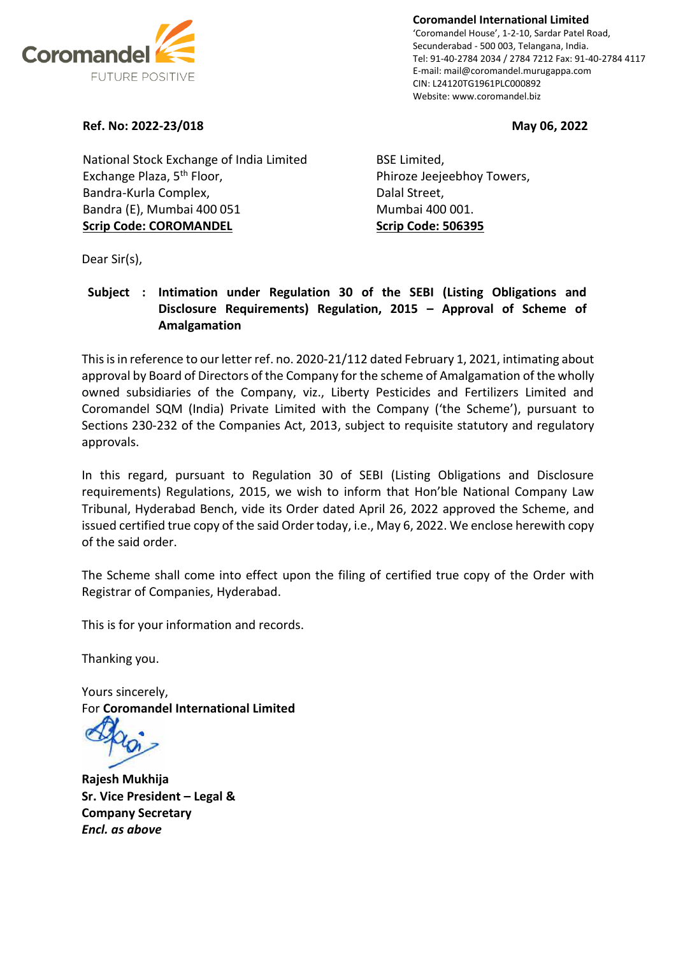

**Coromandel International Limited** 'Coromandel House', 1-2-10, Sardar Patel Road, Secunderabad - 500 003, Telangana, India. Tel: 91-40-2784 2034 / 2784 7212 Fax: 91-40-2784 4117 E-mail: mail@coromandel.murugappa.com CIN: L24120TG1961PLC000892 Website: www.coromandel.biz

#### **Ref. No: 2022-23/018 May 06, 2022**

National Stock Exchange of India Limited Exchange Plaza, 5<sup>th</sup> Floor, Bandra-Kurla Complex, Bandra (E), Mumbai 400 051 **Scrip Code: COROMANDEL**

BSE Limited, Phiroze Jeejeebhoy Towers, Dalal Street, Mumbai 400 001. **Scrip Code: 506395**

Dear Sir(s),

#### **Subject : Intimation under Regulation 30 of the SEBI (Listing Obligations and Disclosure Requirements) Regulation, 2015 – Approval of Scheme of Amalgamation**

This is in reference to our letter ref. no. 2020-21/112 dated February 1, 2021, intimating about approval by Board of Directors of the Company for the scheme of Amalgamation of the wholly owned subsidiaries of the Company, viz., Liberty Pesticides and Fertilizers Limited and Coromandel SQM (India) Private Limited with the Company ('the Scheme'), pursuant to Sections 230-232 of the Companies Act, 2013, subject to requisite statutory and regulatory approvals.

In this regard, pursuant to Regulation 30 of SEBI (Listing Obligations and Disclosure requirements) Regulations, 2015, we wish to inform that Hon'ble National Company Law Tribunal, Hyderabad Bench, vide its Order dated April 26, 2022 approved the Scheme, and issued certified true copy of the said Order today, i.e., May 6, 2022. We enclose herewith copy of the said order.

The Scheme shall come into effect upon the filing of certified true copy of the Order with Registrar of Companies, Hyderabad.

This is for your information and records.

Thanking you.

Yours sincerely, For **Coromandel International Limited**

**Rajesh Mukhija Sr. Vice President – Legal & Company Secretary** *Encl. as above*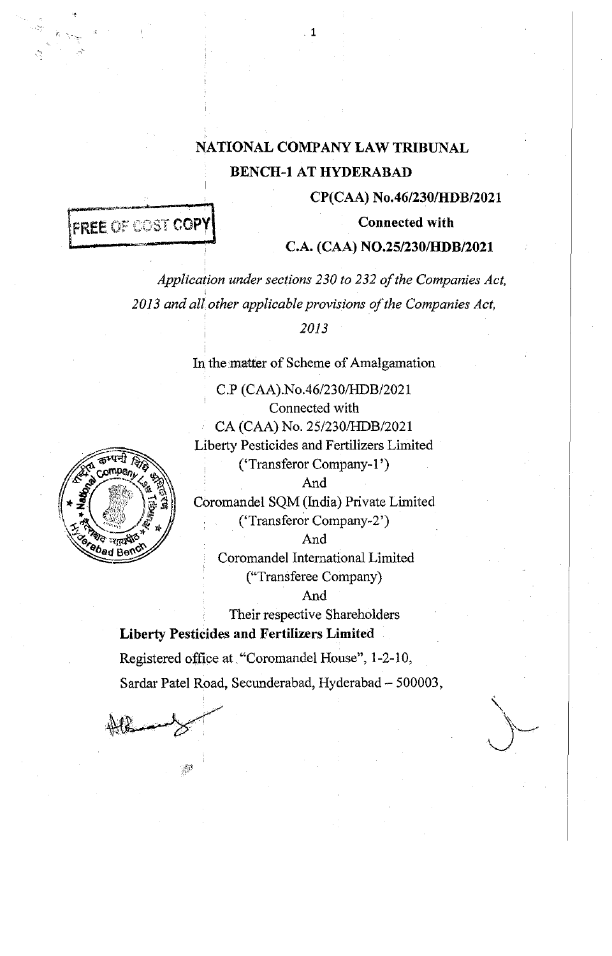# **NATIONAL COMPANY LAW TRIBUNAL BENCH-1 AT HYDERABAD**

1

**CP(CAA) No.46/230/HDB/2021** 

**Connected with** 

# **FREE OF COST COPY**

### **C.A. (CAA) N0.25/230/HDB/2021**

*Application under sections 230 to 232 of the Companies Act,*  2013 and all other applicable provisions of the Companies Act,

*2013* 

In the matter of Scheme of Amalgamation

C.P (CAA).No.46/230/HDB/2021 Connected with CA (CAA) No. 25/230/HDB/2021 Liberty Pesticides and Fertilizers Limited ('Transferor Company-I') And

Coromandel SQM (India) Private Limited ('Transferor Company-2')

And

Coromandel International Limited ("Transferee Company)

And

Their respective Shareholders **Liberty Pesticides and Fertilizers Limited** 

Registered office at. "Coromandel House'', 1-2-10, Sardar Patel Road, Secunderabad, Hyderabad- 500003,

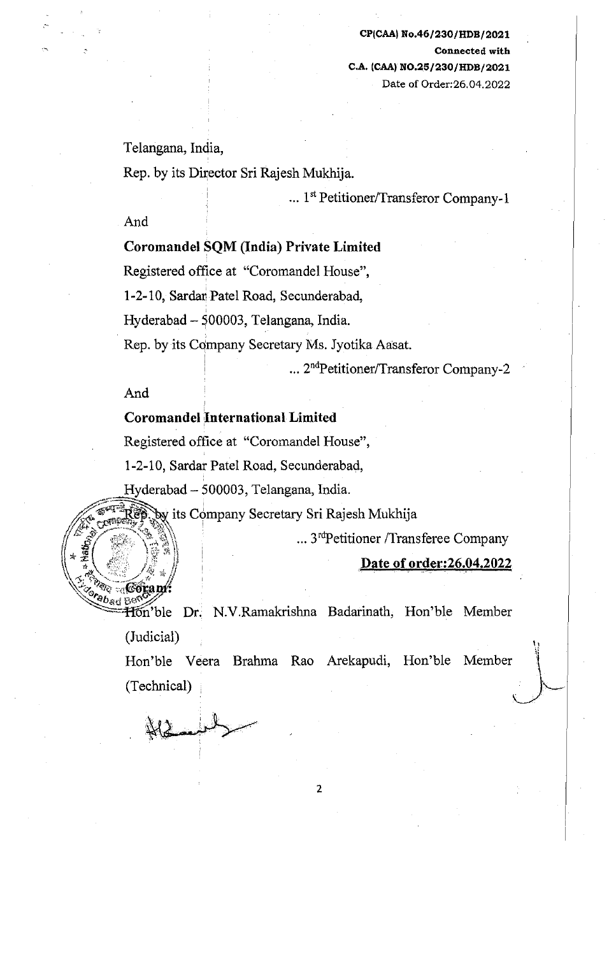Telangana, India,

Rep. by its Director Sri Rajesh Mukhija .

... 1st Petitioner/Transferor Company-1

And

# Coromandel SQM (India) Private Limited

Registered office at "Coromandel House",

1-2-10, Sardan Patel Road, Secunderabad,

Hyderabad - S00003, Telangana, India.

Rep. by its Company Secretary Ms. Jyotika Aasat.

... 2<sup>nd</sup>Petitioner/Transferor Company-2

And

f}+~'f,-' ·~'·" tl5,~.  $\mathbb{Z}^3$  .  $\mathbb{Z}^3$ 

### Coromandel International Limited

Registered office at "Coromandel House",

1-2-10, Sardar Patel Road, Secunderabad,

Hyderabad - 500003, Telangana, India.

 $~^{78}_{89}$  by its Company Secretary Sri Rajesh Mukhija

... 3<sup>rd</sup>Petitioner /Transferee Company

Date of order:26.04.2022

 $\mathcal{L}$ 

 $\frac{1}{2}$  abod  $\frac{1}{2}$   $\frac{1}{2}$ ~\:'"'"'-:/" ~-'Ht)n'ble Dr.. N.V.Ramakrishna Badarinath, Hon'ble Member (Judicial)

Hon'ble Veera Brahma Rao Arekapudi, Hon'ble (Technical)  $Member$ 

 $\mu$ ,  $\mu$  $\forall x \in \mathbb{Z}$  $\mathcal{L}$  /  $\mathcal{C}$   $\longrightarrow$   $\mathcal{L}$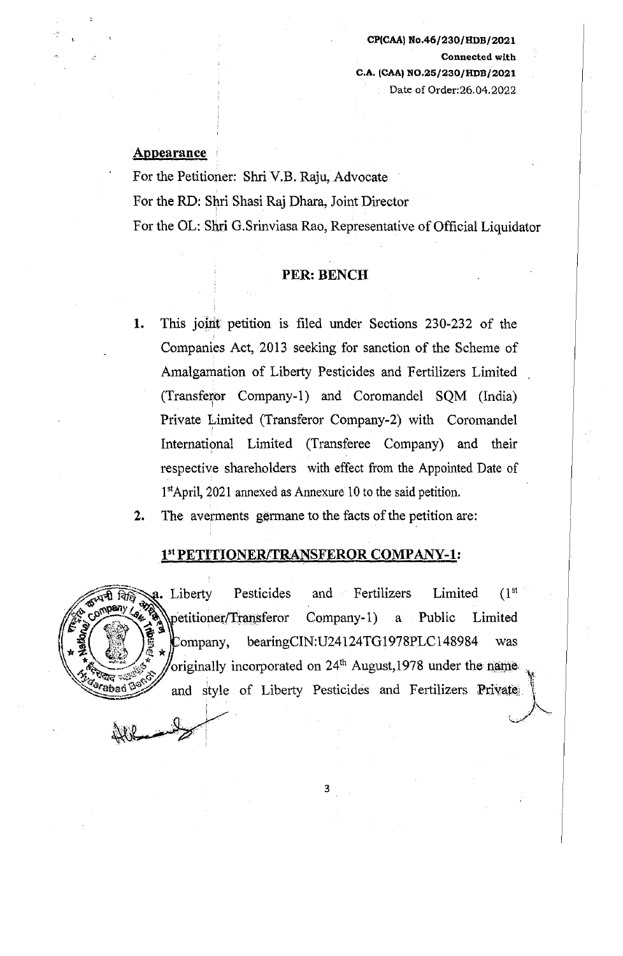#### Appearance

For the Petitioner: Shri V.B. Raju, Advocate For the RD: Shri Shasi Raj Dhara, Joint Director For the OL: Sliri G.Srinviasa Rao, Representative of Official Liquidator

#### PER: BENCH

- 1. This joint petition is filed under Sections 230-232 of the Companies Act, 2013 seeking for sanction of the Scheme of Amalgamation of Liberty Pesticides and Fertilizers Limited (Transferor Company-1) and Coromandel SQM (India) Private Limited (Transferor Company-2) with Coromandel International Limited (Transferee Company) and their respective shareholders with effect from the Appointed Date of 1<sup>st</sup>April, 2021 annexed as Annexure 10 to the said petition.
- 2. The averments germane to the facts of the petition are:

#### 1st PETITIONER/TRANSFEROR COMPANY-1:

 $\sqrt{4\pi\hbar}$   $\sqrt{a}$ . Liberty Pesticides and Fertilizers Limited (1<sup>st</sup>) Fig. 2. Liberty Pesticides and Fertilizers Limited (1<sup>.4</sup><br>My **& A**petitioner/Transferor Company-1) a Public Limited  $\text{Company,}$  bearingCIN:U24124TG1978PLC148984 was originally incorporated on  $24<sup>th</sup>$  August,1978 under the name and style of Liberty Pesticides and Fertilizers Private.  $\frac{1}{28}$  originally incorporated on 24<sup>th</sup><br>and style of Liberty Pestic<br>and style of Liberty Pestic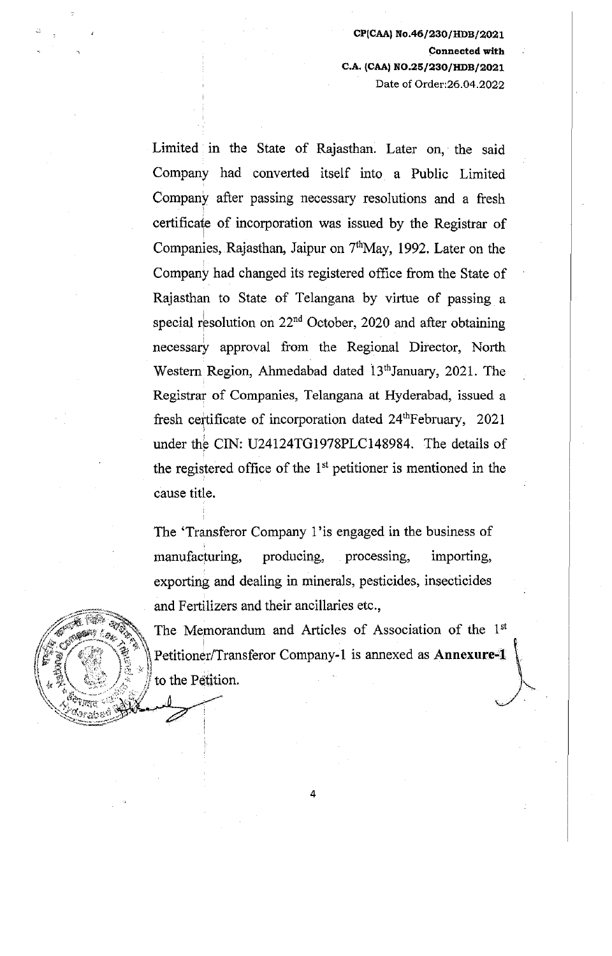Limited in the State of Rajasthan. Later on, the said Company had converted itself into a Public Limited Company after passing necessary resolutions and a fresh • certificate of incorporation was issued by the Registrar of Companies, Rajasthan, Jaipur on  $7<sup>th</sup>May$ , 1992. Later on the Company had changed its registered office from the State of Rajasthan to State of Telangana by virtue of passing a special resolution on  $22<sup>nd</sup>$  October, 2020 and after obtaining necessary approval from the Regional Director, North Western Region, Ahmedabad dated 13<sup>th</sup> January, 2021. The Registrar of Companies, Telangana at Hyderabad, issued a fresh certificate of incorporation dated 24<sup>th</sup>February, 2021 under the CIN: U24124TG1978PLC148984. The details of ! the registered office of the  $1<sup>st</sup>$  petitioner is mentioned in the cause title.

The 'Transferor Company 1' is engaged in the business of manufacturing, producing, processing, importing, exporting and dealing in minerals, pesticides, insecticides and Fertilizers and their ancillaries etc.,



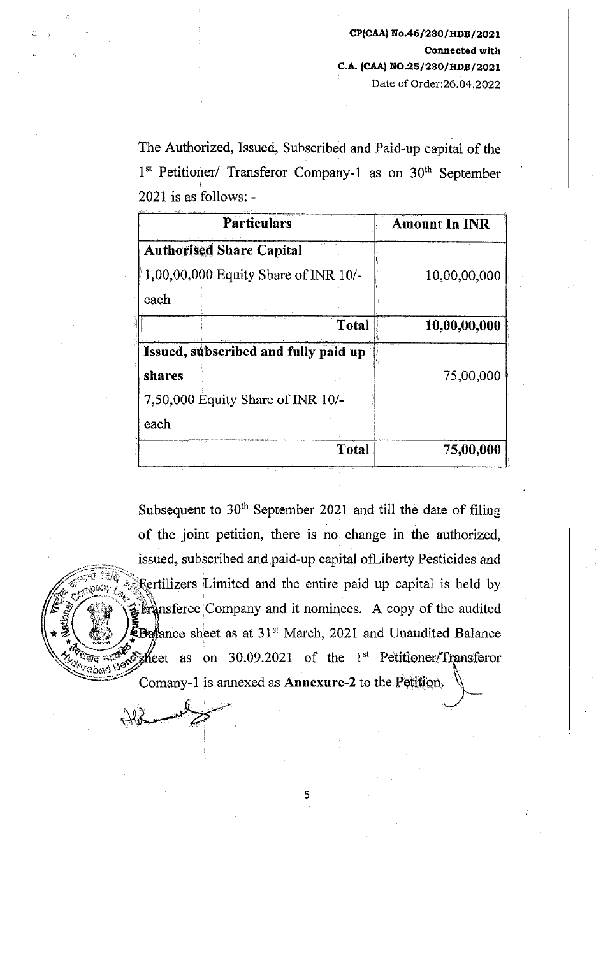The Authorized, Issued, Subscribed and Paid-up capital of the 1st Petitioner/ Transferor Company-1 as on 30<sup>th</sup> September 2021 is as follows: -

| <b>Particulars</b>                     | <b>Amount In INR</b> |
|----------------------------------------|----------------------|
| <b>Authorised Share Capital</b>        |                      |
| $1,00,00,000$ Equity Share of INR 10/- | 10,00,00,000         |
| each                                   |                      |
| Total                                  | 10,00,00,000         |
| Issued, subscribed and fully paid up   |                      |
| shares                                 | 75,00,000            |
| 7,50,000 Equity Share of INR 10/-      |                      |
| each                                   |                      |
| Total                                  | 75,00,000            |

Subsequent to  $30<sup>th</sup>$  September 2021 and till the date of filing of the joint petition, there is no change in the authorized, issued, subscribed and paid-up capital ofLiberty Pesticides and Fertilizers Limited and the entire paid up capital is held by *.. -r..::·* tF•· ~"··--:·--<~\$·., ·\:h ~~ !  $\mathcal{F}^{\mathcal{F}}_{\mathcal{S}}$  (iii) is because the substant  $\mathcal{F}^{\mathcal{F}}$  and it nominees. A copy of the audited  $\mathbf{F}$ Ba/ance sheet as at 31<sup>st</sup> March, 2021 and Unaudited Balance  $\longrightarrow$  $\sqrt{\sum_{n=0}^{\infty} m_n}$  =  $\frac{m}{2}$   $\frac{m}{2}$  feet as on 30.09.2021 of the 1<sup>st</sup> Petitioner/Transferor Comany-1 is annexed as **Annexure-2** to the Petition.  $+12$  .

5

' '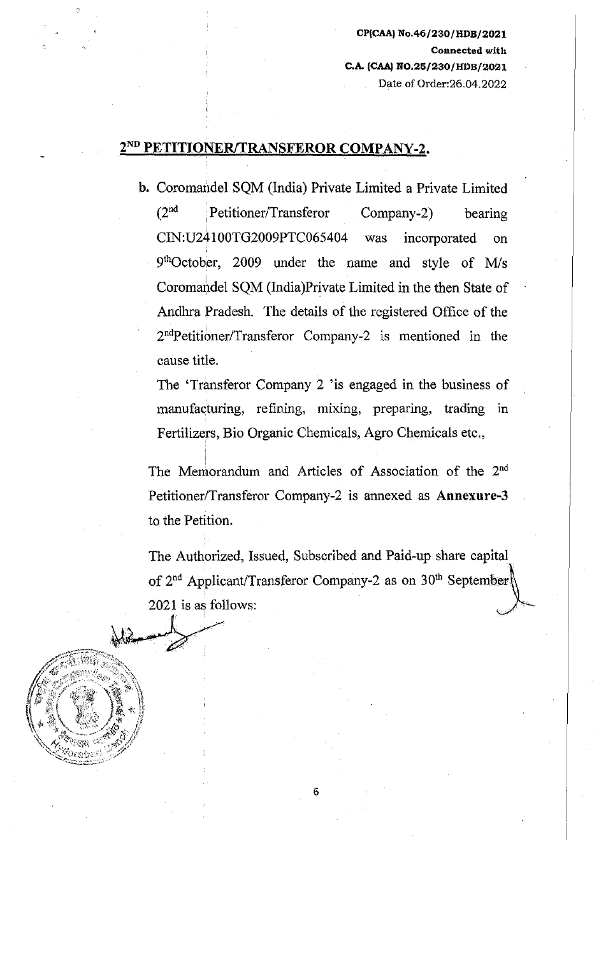## 2<sup>nd</sup> PETITIONER/TRANSFEROR COMPANY-2.

I

b. Coromandel SQM (India) Private Limited a Private Limited (2°d Petitioner/Transferor Company-2) bearing CIN:U24100TG2009PTC065404 was incorporated on 91 hOctober, 2009 under the name and style of Mis Coromandel SQM (India)Private Limited in the then State of Andhra Pradesh. The details of the registered Office of the 2<sup>nd</sup>Petitioner/Transferor Company-2 is mentioned in the cause title.

The 'Transferor Company 2 'is engaged in the business of manufacturing, refining, mixing, preparing, trading in Fertilizers, Bio Organic Chemicals, Agro Chemicals etc.,

The Memorandum and Articles of Association of the 2<sup>nd</sup> Petitioner/Transferor Company-2 is annexed as Annexure-3 to the Petition.

The Authorized, Issued, Subscribed and Paid-up share capital of  $2<sup>nd</sup>$  Applicant/Transferor Company-2 as on  $30<sup>th</sup>$  September 2021 is as follows:

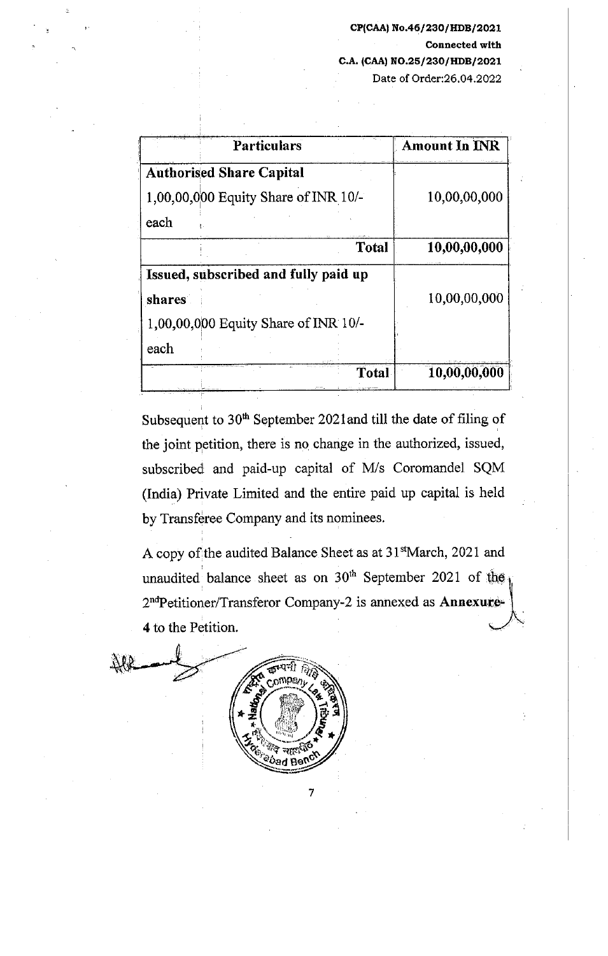|        | <b>Particulars</b>                   | <b>Amount In INR</b> |
|--------|--------------------------------------|----------------------|
|        | <b>Authorised Share Capital</b>      |                      |
|        | 1,00,00,000 Equity Share of INR 10/- | 10,00,00,000         |
| each   |                                      |                      |
|        | <b>Total</b>                         | 10,00,00,000         |
|        | Issued, subscribed and fully paid up |                      |
| shares |                                      | 10,00,00,000         |
|        | 1,00,00,000 Equity Share of INR 10/- |                      |
| each   |                                      |                      |
|        | Total                                | 10,00,00,000         |

Subsequent to  $30<sup>th</sup>$  September 2021 and till the date of filing of the joint petition, there is no change in the authorized, issued, subscribed and paid-up capital of M/s Coromandel SQM (India) Private Limited and the entire paid up capital is held by Transferee Company and its nominees.

A copy of the audited Balance Sheet as at 31stMarch, 2021 and unaudited balance sheet as on  $30<sup>th</sup>$  September 2021 of the  $\frac{1}{10}$ 2<sup>nd</sup>Petitioner/Transferor Company-2 is annexed as Annexure-4 to the Petition.

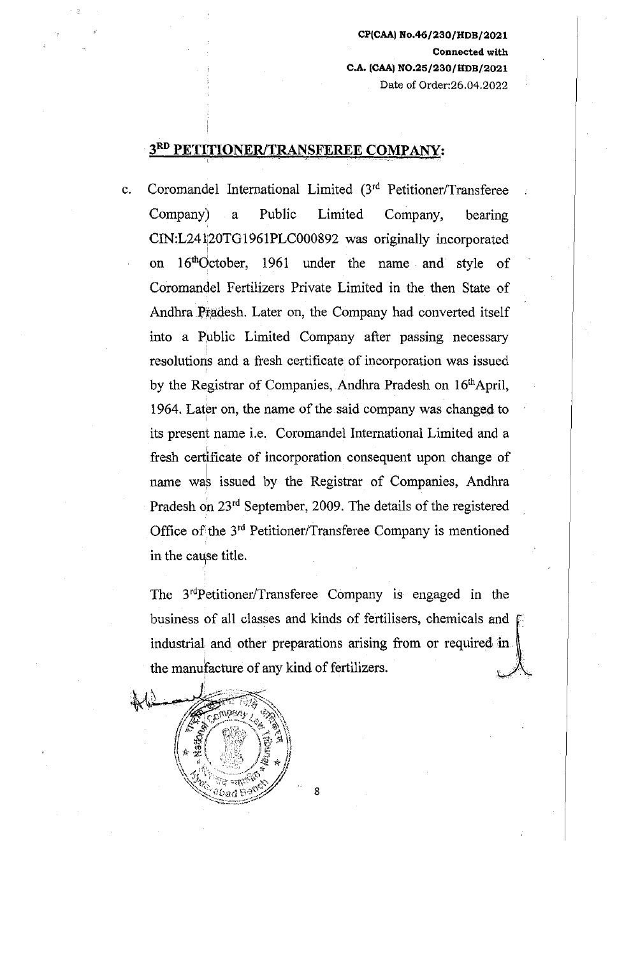#### **3RD PETITIONER/TRANSFEREE COMPANY:**

I

c. Coromandel International Limited (3'd Petitioner/Transferee Company) a Public Limited Company, bearing CIN:L241[20TG1961PLC000892 was originally incorporated I on 16<sup>th</sup>October, 1961 under the name and style of Coromandel Fertilizers Private Limited in the then State of Andhra Pradesh. Later on, the Company had converted itself into a Public Limited Company after passing necessary resolutions and a fresh certificate of incorporation was issued by the Registrar of Companies, Andhra Pradesh on 16<sup>th</sup>April, 1964. Later on, the name of the said company was changed to its present name i.e. Coromandel International Limited and a fresh certificate of incorporation consequent upon change of name was issued by the Registrar of Companies, Andhra Pradesh on 23rd September, 2009. The details of the registered Office of the 3rd Petitioner/Transferee Company is mentioned in the cause title.

The 3'dPetitioner/Transferee Company is engaged in the business of all classes and kinds of fertilisers, chemicals and  $\Gamma$ industrial and other preparations arising from or required in the manufacture of any kind of fertilizers.

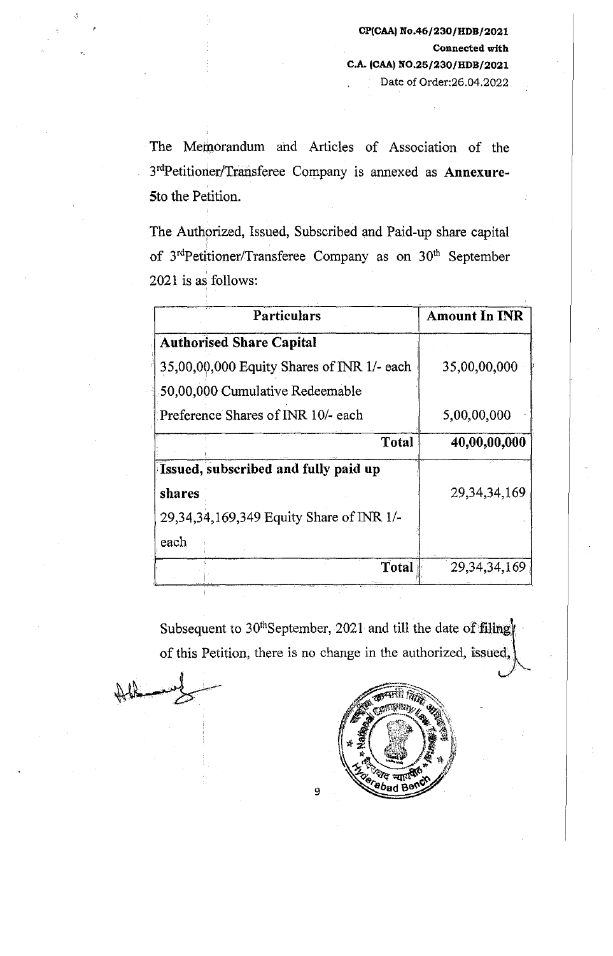The Memorandum ahd Articles of Association of the 3rdPetitioner/Transferee Company is annexed as Annexure-Sto the Petition.

The Authorized, Issued, Subscribed and Paid-up share capital of 3<sup>rd</sup>Petitioner/Transferee Company as on 30<sup>th</sup> September  $2021$  is as follows:

| Particulars                                  | <b>Amount In INR</b> |
|----------------------------------------------|----------------------|
| <b>Authorised Share Capital</b>              |                      |
| 35,00,00,000 Equity Shares of INR 1/- each   | 35,00,00,000         |
| 50,00,000 Cumulative Redeemable              |                      |
| Preference Shares of INR 10/- each           | 5,00,00,000          |
| Total                                        | 40,00,00,000         |
| Issued, subscribed and fully paid up         |                      |
| shares                                       | 29, 34, 34, 169      |
| 29, 34, 34, 169, 349 Equity Share of INR 1/- |                      |
| each                                         |                      |
| Total                                        | 29, 34, 34, 169      |

Subsequent to 30<sup>th</sup>September, 2021 and till the date of filing of this Petition, there is no change in the authorized, issued,

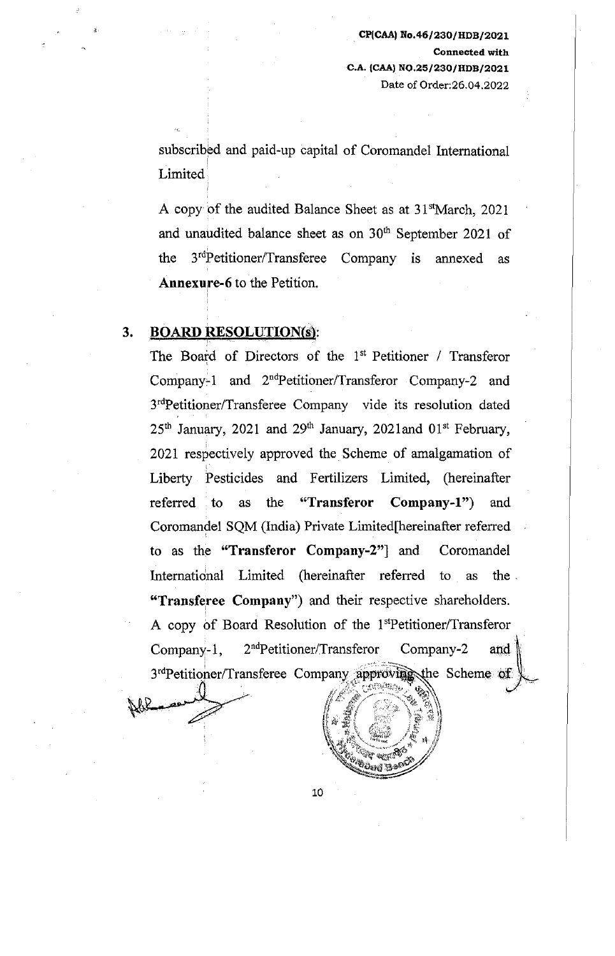subscribed and paid-up capital of Coromandel International ! Limited

A copy of the audited Balance Sheet as at 31<sup>st</sup>March, 2021 and unaudited balance sheet as on 30<sup>th</sup> September 2021 of the 3<sup>rd</sup>Petitioner/Transferee Company is annexed as Annexure-6 to the Petition.

### 3. BOARD RESOLUTION(s):

I

The Board of Directors of the 1<sup>st</sup> Petitioner / Transferor Company-1 and  $2<sup>nd</sup>Petitioner/Transferor Company-2 and$ 3rdPetitioner/Transferee Company vide its resolution dated  $25<sup>th</sup>$  January,  $2021$  and  $29<sup>th</sup>$  January,  $2021$  and  $01<sup>st</sup>$  February, 2021 respectively approved the Scheme of amalgamation of I Liberty Pesticides and Fertilizers Limited, (hereinafter referred to as the "Transferor Company-1") and Coromandel SQM (India) Private Limited[hereinafter referred to as the "Transferor Company-2"] and Coromandel International Limited (hereinafter referred to as the . "Transferee Company") and their respective shareholders. A copy of Board Resolution of the 1<sup>st</sup>Petitioner/Transferor Company-1, 2<sup>nd</sup>Petitioner/Transferor Company-2 and<br>3<sup>rd</sup>Petitioner/Transferee Company approving the Scheme of



10

 $\#^{\varepsilon}$  , and  $\#^{\varepsilon}$  ,  $\#^{\varepsilon}$  ,  $\#^{\varepsilon}$  ,  $\#^{\varepsilon}$ if if  $\alpha \in \mathbb{Z}$ 

 $(\mathbb{Z}/\mathbb{Z})$  $\mathbb{Z} \subseteq \mathbb{Z}$  $\mathbb{R}$  ,  $\mathbb{R}$  ,  $\mathbb{R}$  ,  $\mathbb{R}$ " ~i1~111 ll"'1'"'"· ·~ ...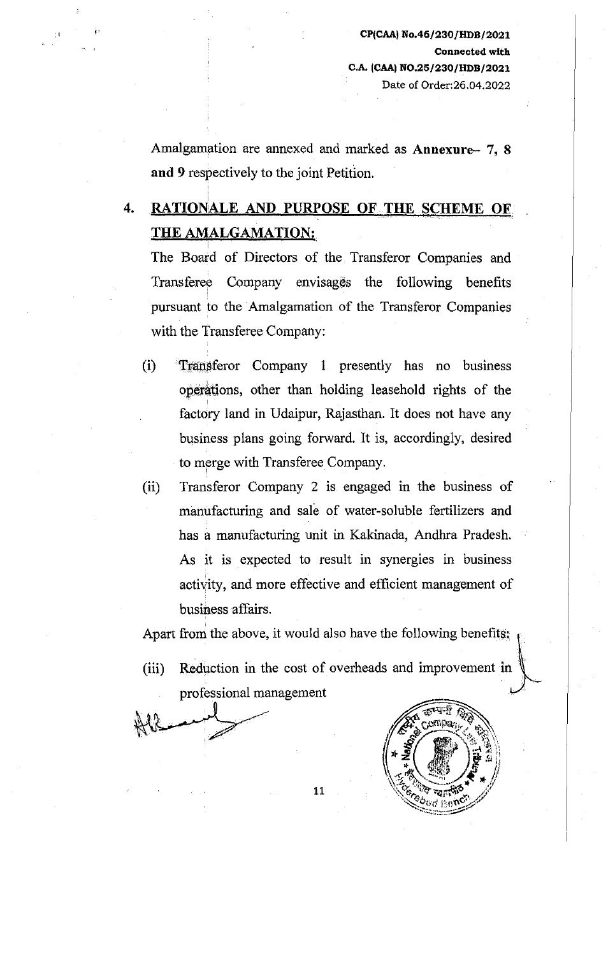Amalgamation are annexed and marked as Annexure- 7, 8 and 9 respectively to the joint Petition.

# 4. RATIONALE AND PURPOSE OF THE SCHEME OF THE AMALGAMATION:

The Board of Directors of the Transferor Companies and Transferee Company envisages the following benefits pursuant to the Amalgamation of the Transferor Companies with the Transferee Company:

- (i) Transferor Company 1 presently has no business operations, other than holding leasehold rights of the factory land in Udaipur, Rajasthan. It does not have any business plans going forward. It is, accordingly, desired to merge with Transferee Company.
- (ii) Transferor Company 2 is engaged m the business of manufacturing and sale of water-soluble fertilizers and has a manufacturing unit in Kakinada, Andhra Pradesh. As it is expected to result in synergies in business activity, and more effective and efficient management of busiaess affairs.

Apart from the above, it would also have the following benefits:  $\mathbf{t}$ 

(iii) Reduction in the cost of overheads and improvement in professional management



-~~6wr1 lle·~c~v >·~::\_·.'::.-:-:.:-:";;:::;::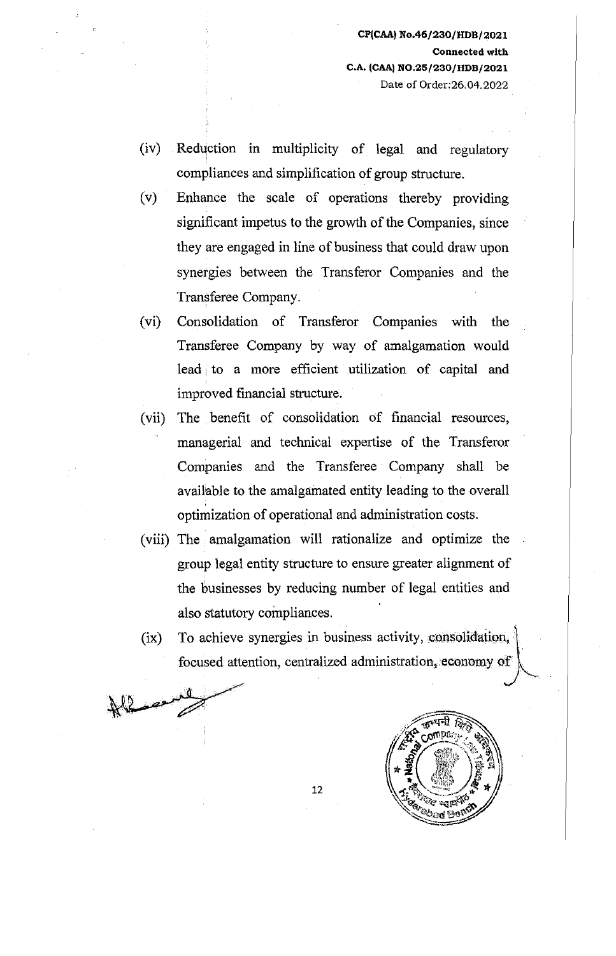- $(iv)$  Reduction in multiplicity of legal and regulatory compliances and simplification of group structure.
- (v) Enhance the scale of operations thereby providing significant impetus to the growth of the Companies, since they are engaged in line of business that could draw upon synergies between the Transferor Companies and the Transferee Company.
- (vi) Consolidation of Transferor Companies with the Transferee Company by way of amalgamation would lead to a more efficient utilization of capital and improved financial structure.
- (vii) The benefit of consolidation of financial resources, managerial and technical expertise of the Transferor Companies and the Transferee Company shall be available to the amalgamated entity leading to the overall optimization of operational and administration costs.
- (viii) The amalgamation will rationalize and optimize the group legal entity structure to ensure greater alignment of the businesses by reducing number of legal entities and also statutory compliances.
- (ix) To achieve synergies in business activity, consolidation, focused attention, centralized administration, economy of

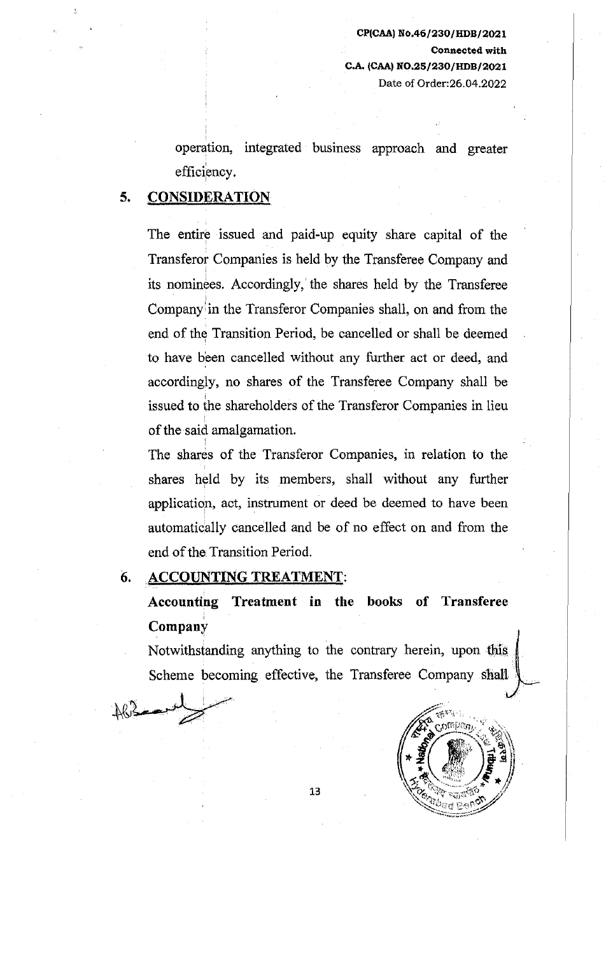operation, integrated business approach and greater efficiency.

## **5. CONSIDERATION**

The entire issued and paid-up equity share capital of the Transferor Companies is held by the Transferee Company and its nominees. Accordingly, the shares held by the Transferee I Company' in the Transferor Companies shall, on and from the end of the Transition Period, be cancelled or shall be deemed to have been cancelled without any further act or deed, and accordingly, no shares of the Transferee Company shall be issued to the shareholders of the Transferor Companies in lieu of the said amalgamation.

The shares of the Transferor Companies, in relation to the shares held by its members, shall without any further application, act, instrument or deed be deemed to have been automatically cancelled and be of no effect on and from the end of the Transition Period.

*6.* **ACCOUNTING TREATMENT:** 

 $+8$  -  $-1$ 

 $+6$   $-1$ 

**Accounting Treatment in the books of Transferee**  i **Company** 

Notwithstanding anything to the contrary herein, upon this Scheme becoming effective, the Transferee Company shall

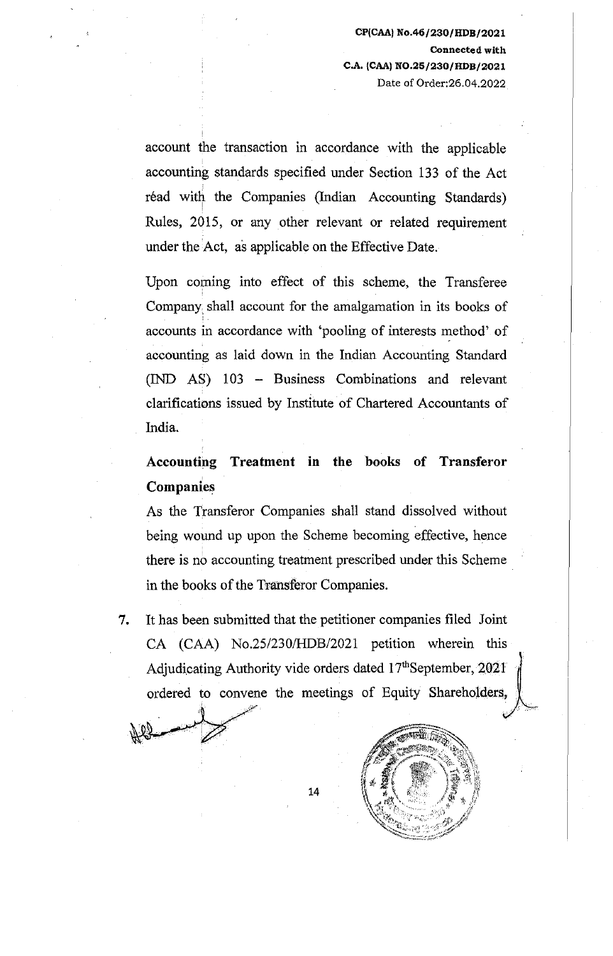account the transaction in accordance with the applicable accounting standards specified under Section 133 of the Act read with the Companies (Indian Accounting Standards) Rules, 2015, or any other relevant or related requirement under the Act, as applicable on the Effective Date.

Upon coming into effect of this scheme, the Transferee Company, shall account for the amalgamation in its books of accounts in accordance with 'pooling of interests method' of accounting as laid down in the Indian Accounting Standard (IND AS) 103 - Business Combinations and relevant clarifications issued by Institute of Chartered Accountants of India.

# Accounting Treatment in the books of Transferor Companies

As the Transferor Companies shall stand dissolved without being wound up upon the Scheme becoming effective, hence there is no accounting treatment prescribed under this Scheme in the books of the Transferor Companies.

7. It has been submitted that the petitioner companies filed Joint CA (CAA) No.25/230/HDB/2021 petition wherein this Adjudicating Authority vide orders dated  $17<sup>th</sup>$ September, 2021 ordered to convene the meetings of Equity Shareholders,

*r* 

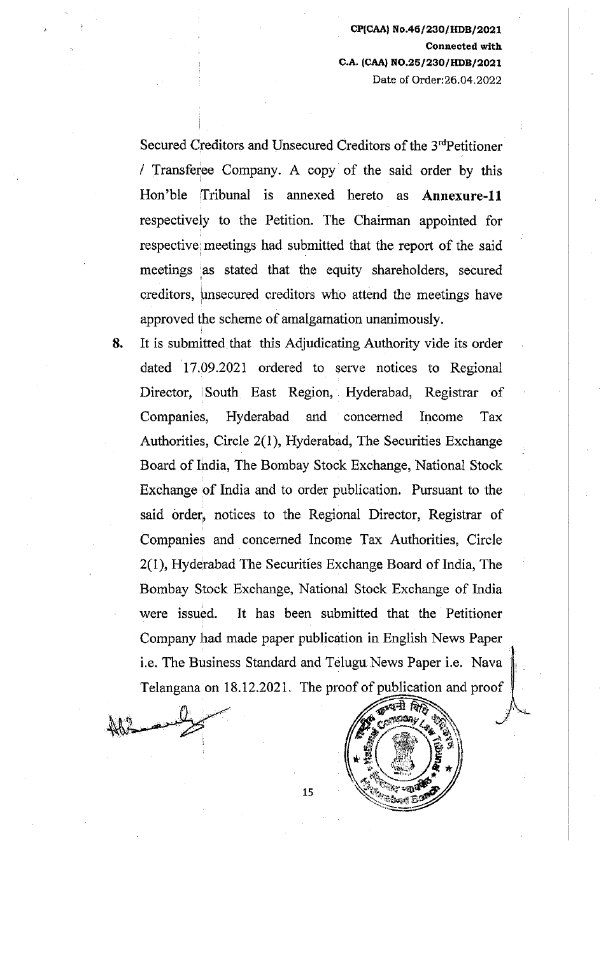Secured Creditors and Unsecured Creditors of the 3'dPetitioner / Transferee Company. A copy of the said order by this Hon'ble Tribunal is annexed hereto as **Annexure-11**  respectively to the Petition. The Chairman appointed for respective meetings had submitted that the report of the said meetings as stated that the equity shareholders, secured creditors, unsecured creditors who attend the meetings have approved the scheme of amalgamation unanimously.

**8.** It is submitted that this Adjudicating Authority vide its order dated 17.09.2021 ordered to serve notices to Regional Director, South East Region, Hyderabad, Registrar of Companies, Hyderabad and concerned Income Tax Authorities, Circle 2(1), Hyderabad, The Securities Exchange Board of India, The Bombay Stock Exchange, National Stock Exchange of India and to order publication. Pursuant to the said order, notices to the Regional Director, Registrar of Companies and concerned Income Tax Authorities, Circle 2(1), Hyderabad The Securities Exchange Board of India, The Bombay Stock Exchange, National Stock Exchange of India were issued. It has been submitted that the Petitioner Company had made paper publication in English News Paper i.e. The Business Standard and Telugu News Paper i.e. Nava Telangana on 18.12.2021. The proof of publication and proof



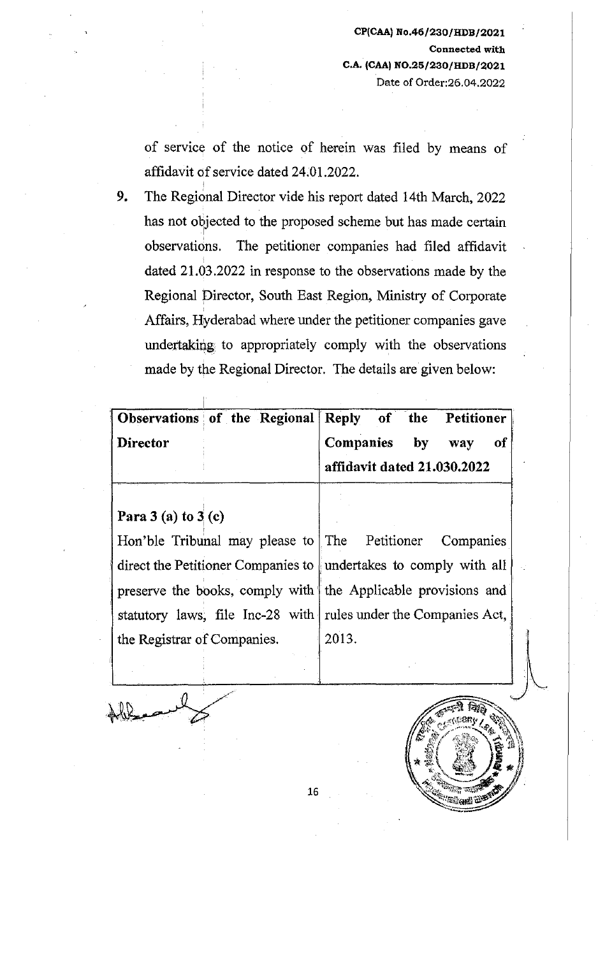of service of the notice of herein was filed by means of affidavit of service dated 24.01.2022.

9. The Regional Director vide his report dated 14th March, 2022 has not objected to the proposed scheme but has made certain I observations. The petitioner companies had filed affidavit dated 21.03.2022 in response to the observations made by the Regional Director, South East Region, Ministry of Corporate Affairs, Hyderabad where under the petitioner companies gave undertaking to appropriately comply with the observations made by the Regional Director. The details are given below:

| Observations of the Regional Reply of the Petitioner |  |                             |  |  |  |           |
|------------------------------------------------------|--|-----------------------------|--|--|--|-----------|
| Director                                             |  | Companies by way            |  |  |  | <b>of</b> |
|                                                      |  | affidavit dated 21.030.2022 |  |  |  |           |

Para  $3$  (a) to  $3$  (c)

*i* 

I Hon'ble Tribunal may please to The Petitioner Companies direct the Petitioner Companies to with all undertakes to comply with all preserve the books, comply with the Applicable provisions and statutory laws, file Inc-28 with rules under the Companies Act, the Registrar of Companies. 2013.

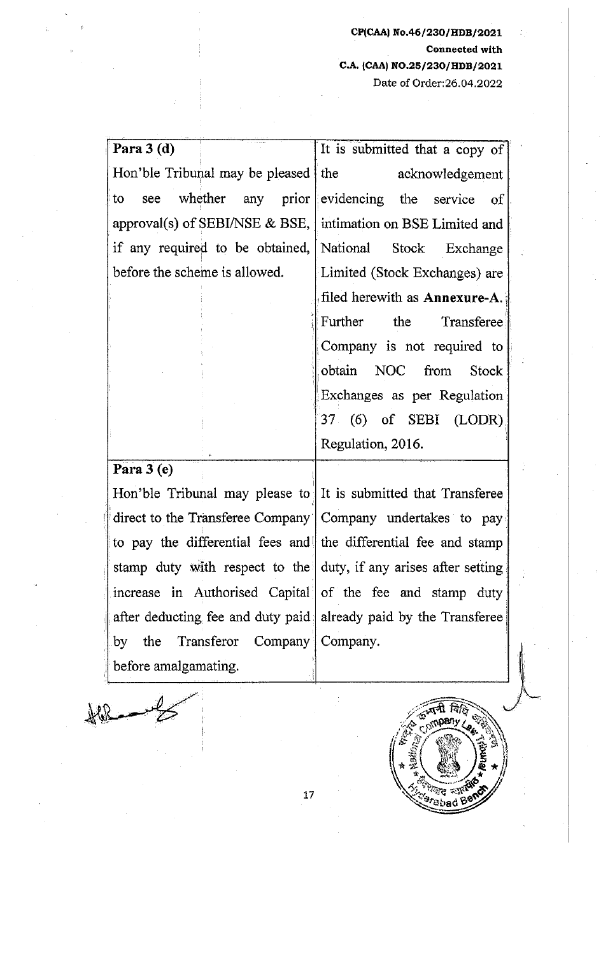Para  $3$  (d) Hon'ble Tribunal may be pleased It is submitted that a copy of the acknowledgement to see whether any prior evidencing the service of approval(s) of SEBI/NSE & BSE, intimation on BSE Limited and if any required to be obtained,  $National$  Stock Exchange I before the scheme is allowed. [Limited (Stock Exchanges) are Para 3 (e) filed herewith as Annexure-A. Further the Transferee I Company is not required to 1 obtain NOC from Stock . Exchanges as per Regulation Hon'ble Tribunal may please to It is submitted that Transferee 37 (6) of SEBI (LODR), Regulation, 2016.

direct to the Transferee Company<sup>-</sup> Company undertakes to pay<sup>-</sup> to pay the differential fees and the differential fee and stamp stamp duty with respect to the duty, if any arises after setting. increase in Authorised Capital of the fee and stamp duty after deducting fee and duty paid, already paid by the Transferee by the Transferor Company Company. before amalgamating.



 $\leftarrow$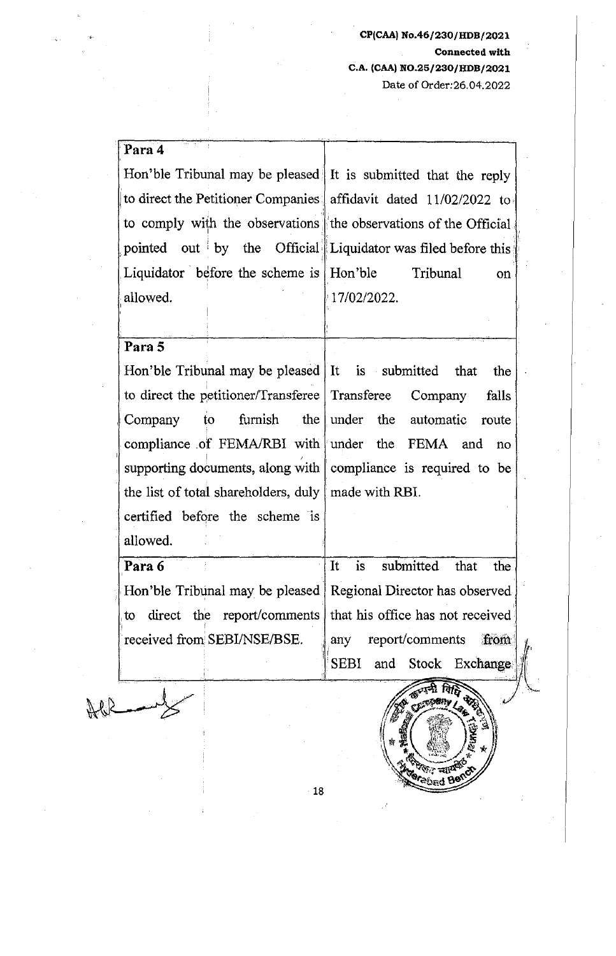| Para 4                                                             |                                                               |
|--------------------------------------------------------------------|---------------------------------------------------------------|
| Hon'ble Tribunal may be pleased It is submitted that the reply     |                                                               |
| to direct the Petitioner Companies   affidavit dated 11/02/2022 to |                                                               |
| to comply with the observations the observations of the Official   |                                                               |
| pointed out by the Official Liquidator was filed before this       |                                                               |
| Liquidator before the scheme is Hon'ble Tribunal                   | on.                                                           |
| allowed.                                                           | 17/02/2022.                                                   |
|                                                                    |                                                               |
| Para 5                                                             |                                                               |
| Hon'ble Tribunal may be pleased It is submitted that               | the                                                           |
| to direct the petitioner/Transferee   Transferee Company           | falls                                                         |
|                                                                    |                                                               |
| $\overline{\mathbf{t}}$<br>Company                                 | furnish the under the automatic route                         |
| compliance of FEMA/RBI with under the FEMA and                     | no                                                            |
| supporting documents, along with compliance is required to be      |                                                               |
| the list of total shareholders, duly   made with RBI.              |                                                               |
| certified before the scheme is                                     |                                                               |
| allowed.                                                           |                                                               |
| Para 6                                                             | is<br>It<br>submitted<br>that<br>the                          |
| Hon'ble Tribunal may be pleased   Regional Director has observed   |                                                               |
| to                                                                 | direct the report/comments   that his office has not received |
| received from SEBI/NSE/BSE.                                        | report/comments<br>from<br>any                                |
|                                                                    | and Stock Exchange<br><b>SEBI</b>                             |
|                                                                    |                                                               |
|                                                                    |                                                               |

 $-18$ 

**Marian Talger**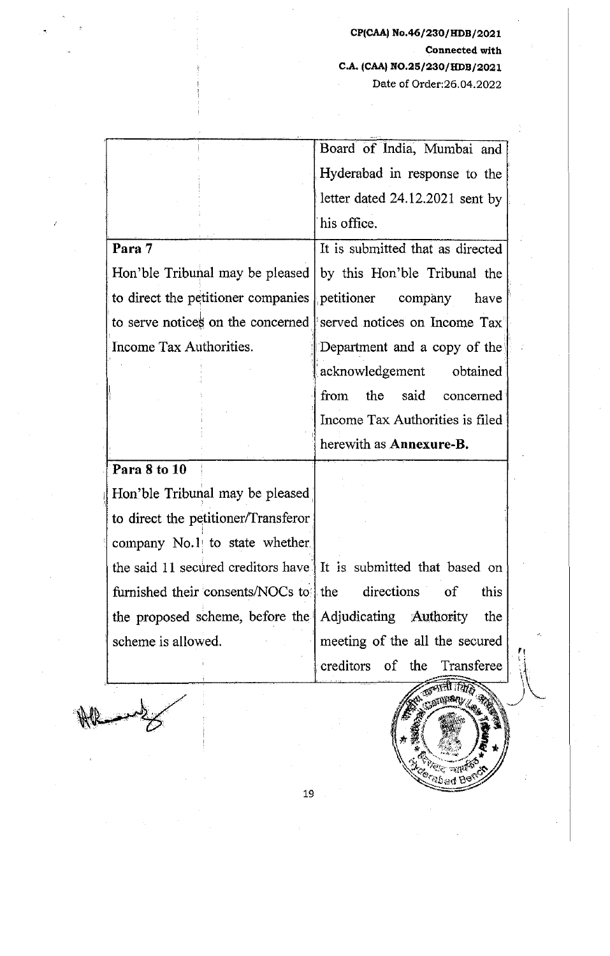· Board of India, Mumbai and Hyderabad in response to the . letter dated 24.12.2021 sent by his office. **Para 7**  It is submitted that as directed Hon'ble Tribunal may be pleased by this Hon'ble Tribunal the to direct the petitioner companies petitioner company have to serve notices on the concerned served notices on Income Tax Income Tax Authorities. **IDepartment and a copy of the** acknowledgement obtained from the said concerned Income Tax Authorities is filed herewith as **Annexure-B.**  · **Para 8 to 10**  Hon'ble Tribunal may be pleased to direct the petitioner/Transferor company No.1 to state whether. the said 11 secured creditors have  $\parallel$  It is submitted that based on furnished their consents/NOCs to the directions of this the proposed scheme, before the ' Adjudicating Authority the scheme is allowed.  $\parallel$  meeting of the all the secured of , creditors the Transferee

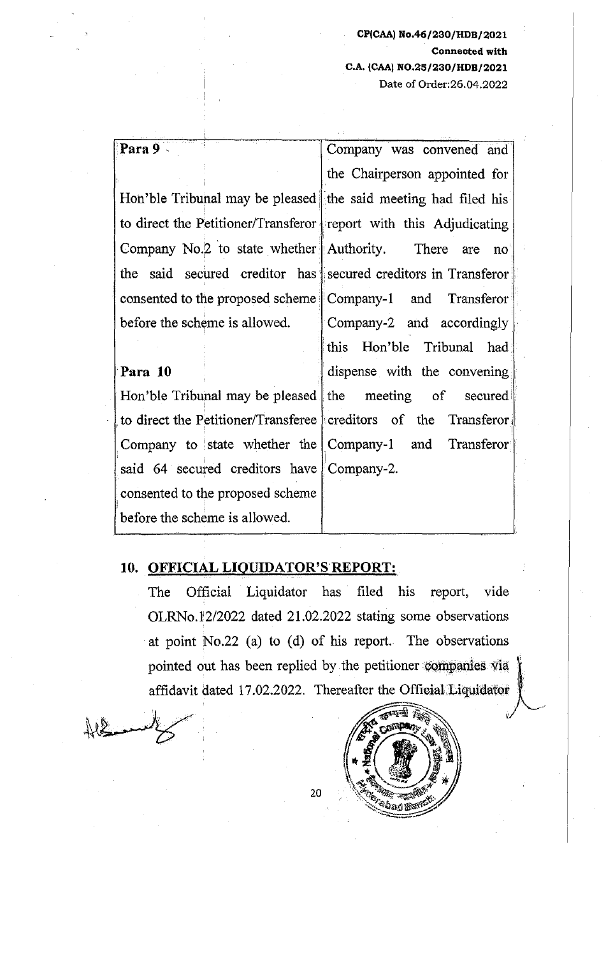# ' **Para 9** · Company was convened and the Chairperson appointed for Hon'ble Tribunal may be pleased the said meeting had filed his to direct the Petitioner/Transferor report with this Adjudicating Company No.<sup>2</sup> to state whether Authority. There are no the said secured creditor has secured creditors in Transferor consented to the proposed scheme | Company-1 and Transferor before the scheme is allowed. Company-2 and accordingly this Hon'ble Tribunal had **Para 10 dispense** with the convening Hon'ble Tribunal may be pleased the meeting of secured to direct the Petitioner/Transferee creditors of the Transferor Company to state whether the Company-1 and Transferor said 64 secured creditors have Company-2.

#### **10. OFFICIAL LIQUIDATOR'S REPORT:**

consented to the proposed scheme

before the scheme is allowed.

The Official Liquidator has filed his report, vide OLRNo.1'2/2022 dated 21.02.2022 stating some observations at point No.22 (a) to (d) of his report. The observations pointed out has been replied by the petitioner companies via affidavit dated 17.02.2022. Thereafter the Official Liquidator



i

<sup>a</sup>bagwor<sup>g</sup>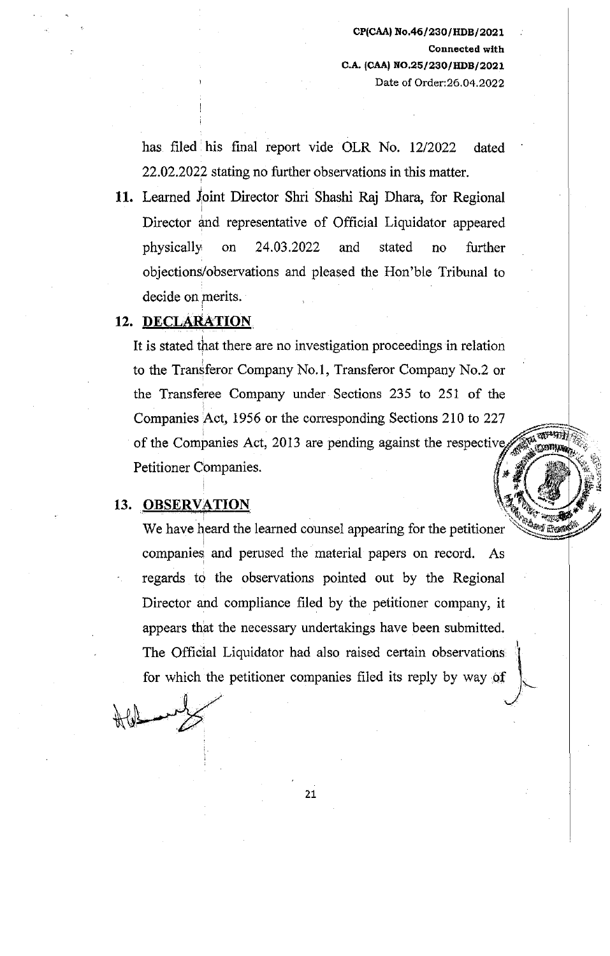has filed his final report vide OLR No. 12/2022 dated 22.02.2022 stating no further observations in this matter.

11. Learned Joint Director Shri Shashi Raj Dhara, for Regional I Director and representative of Official Liquidator appeared physically• on 24.03.2022 and stated no further objections/observations and pleased the Hon'ble Tribunal to decide on merits.

#### **12. DECLARATION,**

It is stated that there are no investigation proceedings in relation ' to the Transferor Company No. **l,** Transferor Company No.2 or the Transferee Company under Sections 235 to 251 of the Companies Act, 1956 or the corresponding Sections 210 to 227 of the Companies Act, 2013 are pending against the respective Petitioner Companies.  $\int_{-\infty}^{\infty} \frac{d\mathbf{x}}{d\mathbf{x}} \, d\mathbf{x} = \int_{-\infty}^{\infty} \frac{d\mathbf{x}}{d\mathbf{x}} \, d\mathbf{x}$ 

#### 13. OBSERVATION

We have heard the learned counsel appearing for the petitioner companies and perused the material papers on record. As regards to the observations pointed out by the Regional Director and compliance filed by the petitioner company, it appears that the necessary undertakings have been submitted. The Official Liquidator had also raised certain observations. for which the petitioner companies filed its reply by way of

.·.

ক্ষাসম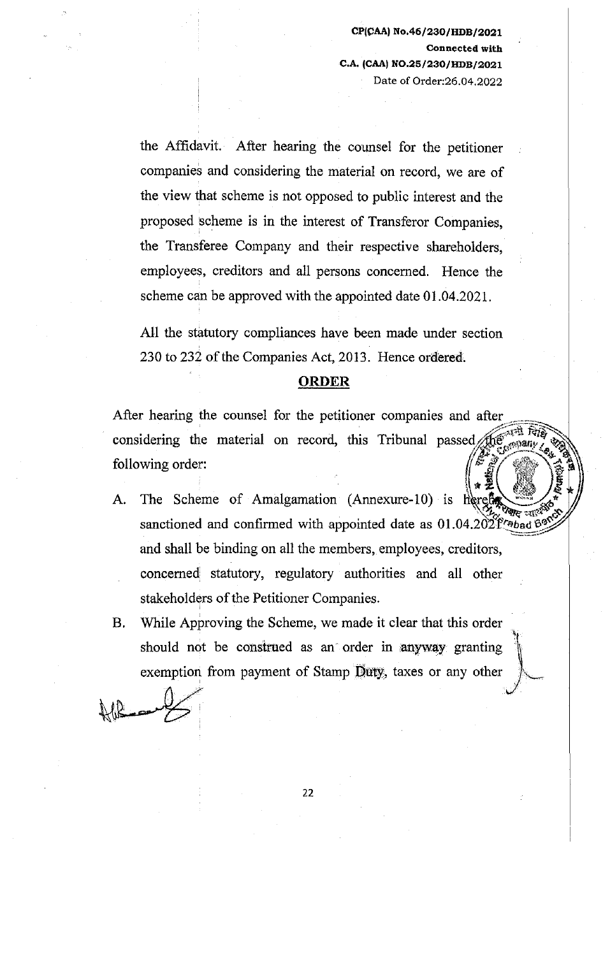the Affidavit. After hearing the counsel for the petitioner companies and considering the material on record, we are of the view that scheme is not opposed to public interest and the proposed 'scheme is in the interest of Transferor Companies, the Transferee Company and their respective shareholders, employees, creditors and all persons concerned. Hence the scheme can be approved with the appointed date 01.04.2021.

All the statutory compliances have been made under section 230 to 232 of the Companies Act, 2013. Hence ordered.

#### **ORDER**

After hearing the counsel for the petitioner companies and after considering the material on record, this Tribunal passed  $\text{ifif~}^{\mathcal{C}}$ <br>following order:

- A. The Scheme of Amalgamation (Annexure-10) is  $\mathbb{R}^2$ sanctioned and confirmed with appointed date as  $01.04.202$   $r_{\text{ebad}}$   $\frac{300}{25}$ and shall be binding on all the members, employees, creditors, concerned statutory, regulatory authorities and all other stakeholders of the Petitioner Companies.
- B. While Approving the Scheme, we made it clear that this order should not be construed as an order in anyway granting exemption from payment of Stamp Duty, taxes or any other

 $\frac{1}{2}$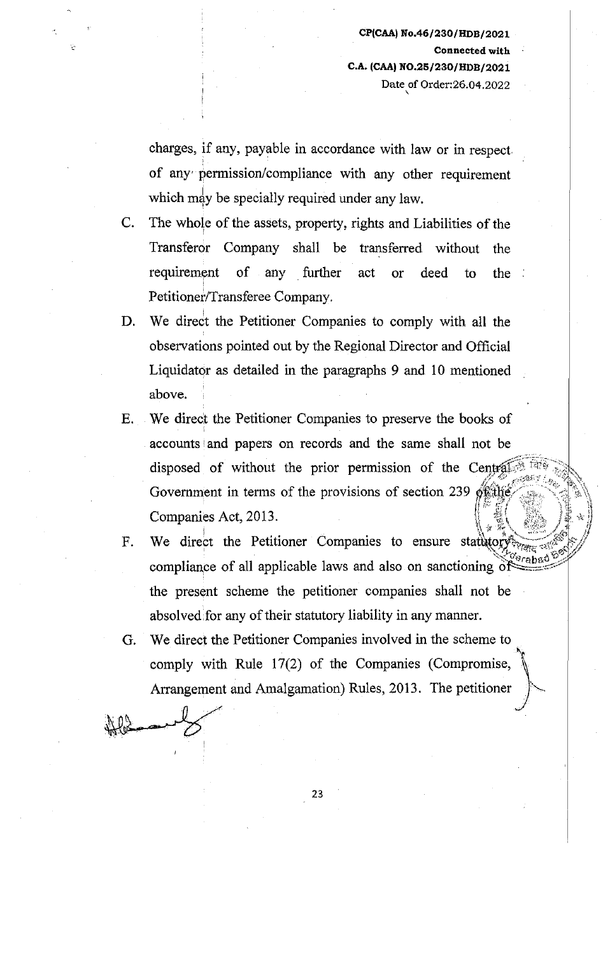$\checkmark$ 

charges, if any, payable in accordance with law or in respect of any permission/compliance with any other requirement which may be specially required under any law.

- C. The whole of the assets, property, rights and Liabilities of the Transferor Company shall be transferred without the requirement of any further act or deed to the ! Petitioner/Transferee Company.
- D. We direct the Petitioner Companies to comply with all the observations pointed out by the Regional Director and Official Liquidator as detailed in the paragraphs 9 and 10 mentioned above.
- E. We direct the Petitioner Companies to preserve the books of accounts and papers on records and the same shall not be disposed of without the prior permission of the Central Government in terms of the provisions of section 239 of the Companies Act, 2013. \it ~~ '· ,,,,.,, I ;M 'i
- F. compliance of all applicable laws and also on sanctioning of the present scheme the petitioner companies shall not be absolved for any of their statutory liability in any manner.
- G. We direct the Petitioner Companies involved in the scheme to ... comply with Rule 17(2) of the Companies (Compromise, Arrangement and Amalgamation) Rules, 2013. The petitioner  $\mathbb{R}$ comply with Rule 17(2) of the Arrangement and Amalgamation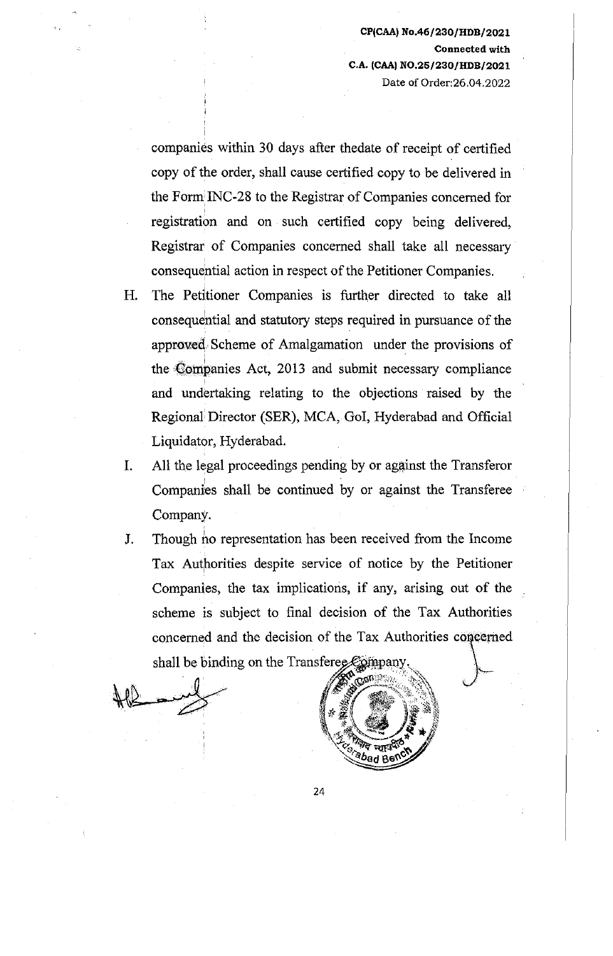companies within 30 days after thedate of receipt of certified copy of the order, shall cause certified copy to be delivered in the Form INC-28 to the Registrar of Companies concerned for ' registration and on such certified copy being delivered, Registrar of Companies concerned shall take all necessary consequential action in respect of the Petitioner Companies.

- H. The Pedtioner Companies is further directed to take all ' consequential and statutory steps required in pursuance of the approxed Scheme of Amalgamation under the provisions of the Companies Act, 2013 and submit necessary compliance and undertaking relating to the objections raised by the Regional Director (SER), MCA, GoI, Hyderabad and Official Liquidator, Hyderabad.
- I. All the legal proceedings pending by or against the Transferor Companies shall be continued by or against the Transferee Company.
- J. Though *ho* representation has been received from the Income Tax Authorities despite service of notice by the Petitioner Companies, the tax implications, if any, arising out of the scheme is subject to final decision of the Tax Authorities concerned and the decision of the Tax Authorities concerned shall be binding on the Transferee Epmpan

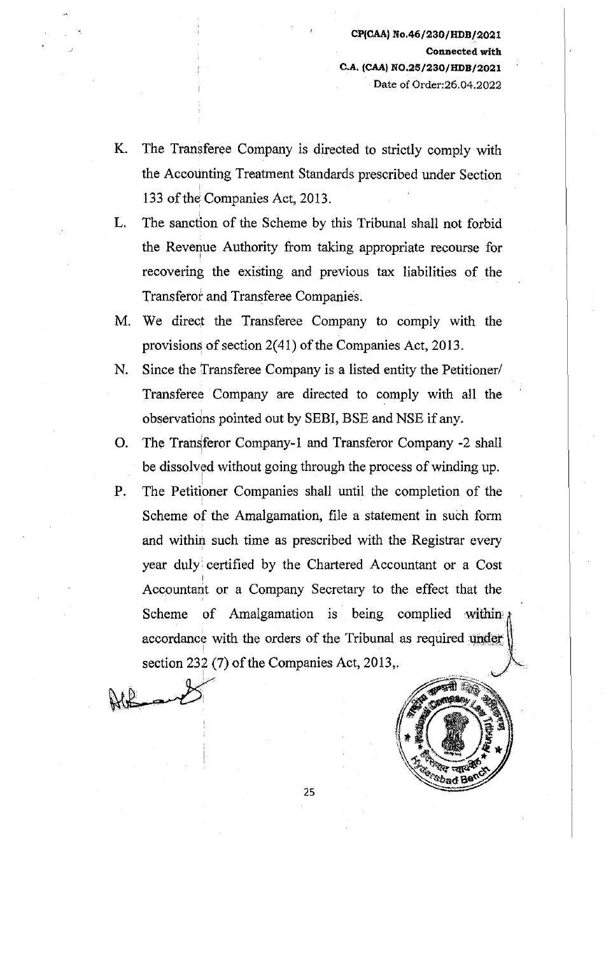- K. The Transferee Company is directed to strictly comply with the Accounting Treatment Standards prescribed under Section 133 of the Companies Act, 2013.
- L. The sanction of the Scheme by this Tribunal shall not forbid the Revenue Authority from taking appropriate recourse for recovering the existing and previous tax liabilities of the Transferot and Transferee Companies.
- M. We direct the Transferee Company to comply with the provisions of section  $2(41)$  of the Companies Act, 2013.
- N. Since the Transferee Company is a listed entity the Petitioner/ Transferee Company are directed to comply with all the observatidns pointed out by SEBI, BSE and NSE if any.
- O. The Transferor Company-1 and Transferor Company -2 shall be dissolved without going through the process of winding up.
- P. The Petitipner Companies shall until the completion of the Scheme of the Amalgamation, file a statement in such form and within such time as prescribed with the Registrar every year duly• certified by the Chartered Accountant or a Cost Accountant or a Company Secretary to the effect that the Scheme of Amalgamation is being complied within accordance with the orders of the Tribunal as required under section 232 (7) of the Companies Act, 2013,.